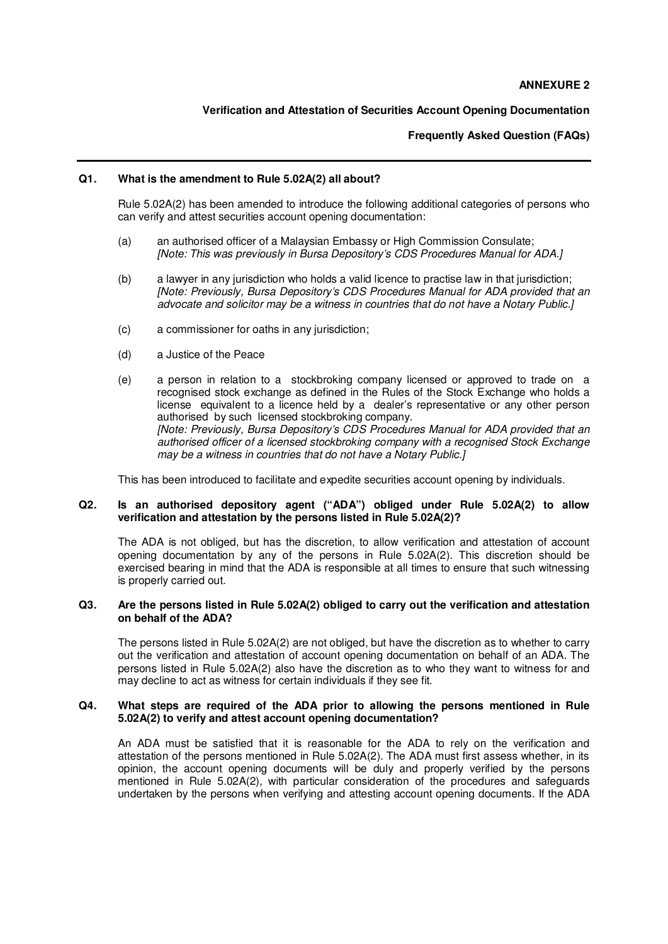# **Verification and Attestation of Securities Account Opening Documentation**

### **Frequently Asked Question (FAQs)**

#### **Q1. What is the amendment to Rule 5.02A(2) all about?**

Rule 5.02A(2) has been amended to introduce the following additional categories of persons who can verify and attest securities account opening documentation:

- (a) an authorised officer of a Malaysian Embassy or High Commission Consulate; [Note: This was previously in Bursa Depository's CDS Procedures Manual for ADA.]
- (b) a lawyer in any jurisdiction who holds a valid licence to practise law in that jurisdiction; [Note: Previously, Bursa Depository's CDS Procedures Manual for ADA provided that an advocate and solicitor may be a witness in countries that do not have a Notary Public.]
- (c) a commissioner for oaths in any jurisdiction;
- (d) a Justice of the Peace
- (e) a person in relation to a stockbroking company licensed or approved to trade on a recognised stock exchange as defined in the Rules of the Stock Exchange who holds a license equivalent to a licence held by a dealer's representative or any other person authorised by such licensed stockbroking company. [Note: Previously, Bursa Depository's CDS Procedures Manual for ADA provided that an authorised officer of a licensed stockbroking company with a recognised Stock Exchange may be a witness in countries that do not have a Notary Public.]

This has been introduced to facilitate and expedite securities account opening by individuals.

### **Q2. Is an authorised depository agent ("ADA") obliged under Rule 5.02A(2) to allow verification and attestation by the persons listed in Rule 5.02A(2)?**

The ADA is not obliged, but has the discretion, to allow verification and attestation of account opening documentation by any of the persons in Rule 5.02A(2). This discretion should be exercised bearing in mind that the ADA is responsible at all times to ensure that such witnessing is properly carried out.

### **Q3. Are the persons listed in Rule 5.02A(2) obliged to carry out the verification and attestation on behalf of the ADA?**

The persons listed in Rule 5.02A(2) are not obliged, but have the discretion as to whether to carry out the verification and attestation of account opening documentation on behalf of an ADA. The persons listed in Rule 5.02A(2) also have the discretion as to who they want to witness for and may decline to act as witness for certain individuals if they see fit.

# **Q4. What steps are required of the ADA prior to allowing the persons mentioned in Rule 5.02A(2) to verify and attest account opening documentation?**

An ADA must be satisfied that it is reasonable for the ADA to rely on the verification and attestation of the persons mentioned in Rule 5.02A(2). The ADA must first assess whether, in its opinion, the account opening documents will be duly and properly verified by the persons mentioned in Rule 5.02A(2), with particular consideration of the procedures and safeguards undertaken by the persons when verifying and attesting account opening documents. If the ADA